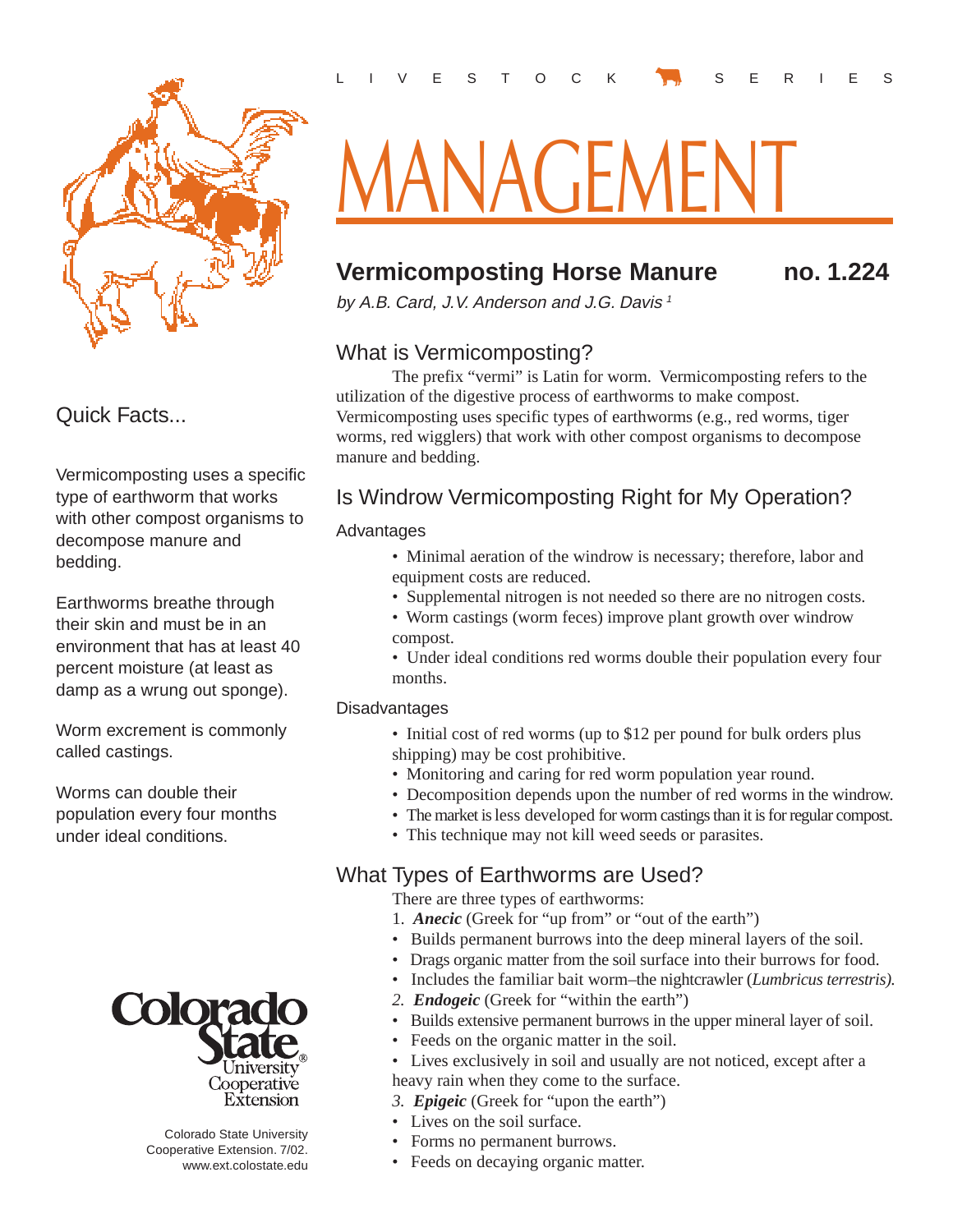

# Quick Facts...

Vermicomposting uses a specific type of earthworm that works with other compost organisms to decompose manure and bedding.

Earthworms breathe through their skin and must be in an environment that has at least 40 percent moisture (at least as damp as a wrung out sponge).

Worm excrement is commonly called castings.

Worms can double their population every four months under ideal conditions.



 Colorado State University Cooperative Extension. 7/02. www.ext.colostate.edu

# <u>MANAGEMENT</u>

# **Vermicomposting Horse Manure no. 1.224**

by A.B. Card, J.V. Anderson and J.G. Davis<sup>1</sup>

## What is Vermicomposting?

The prefix "vermi" is Latin for worm. Vermicomposting refers to the utilization of the digestive process of earthworms to make compost. Vermicomposting uses specific types of earthworms (e.g., red worms, tiger worms, red wigglers) that work with other compost organisms to decompose manure and bedding.

# Is Windrow Vermicomposting Right for My Operation?

## Advantages

- Minimal aeration of the windrow is necessary; therefore, labor and equipment costs are reduced.
- Supplemental nitrogen is not needed so there are no nitrogen costs.
- Worm castings (worm feces) improve plant growth over windrow compost.
- Under ideal conditions red worms double their population every four months.

## Disadvantages

- Initial cost of red worms (up to \$12 per pound for bulk orders plus shipping) may be cost prohibitive.
- Monitoring and caring for red worm population year round.
- Decomposition depends upon the number of red worms in the windrow.
- The market is less developed for worm castings than it is for regular compost.
- This technique may not kill weed seeds or parasites.

# What Types of Earthworms are Used?

There are three types of earthworms:

- 1. *Anecic* (Greek for "up from" or "out of the earth")
- Builds permanent burrows into the deep mineral layers of the soil.
- Drags organic matter from the soil surface into their burrows for food.
- Includes the familiar bait worm–the nightcrawler (*Lumbricus terrestris).*
- *2. Endogeic* (Greek for "within the earth")
- Builds extensive permanent burrows in the upper mineral layer of soil.
- Feeds on the organic matter in the soil.
- Lives exclusively in soil and usually are not noticed, except after a heavy rain when they come to the surface.
- *3. Epigeic* (Greek for "upon the earth")
- Lives on the soil surface.
- Forms no permanent burrows.
- Feeds on decaying organic matter.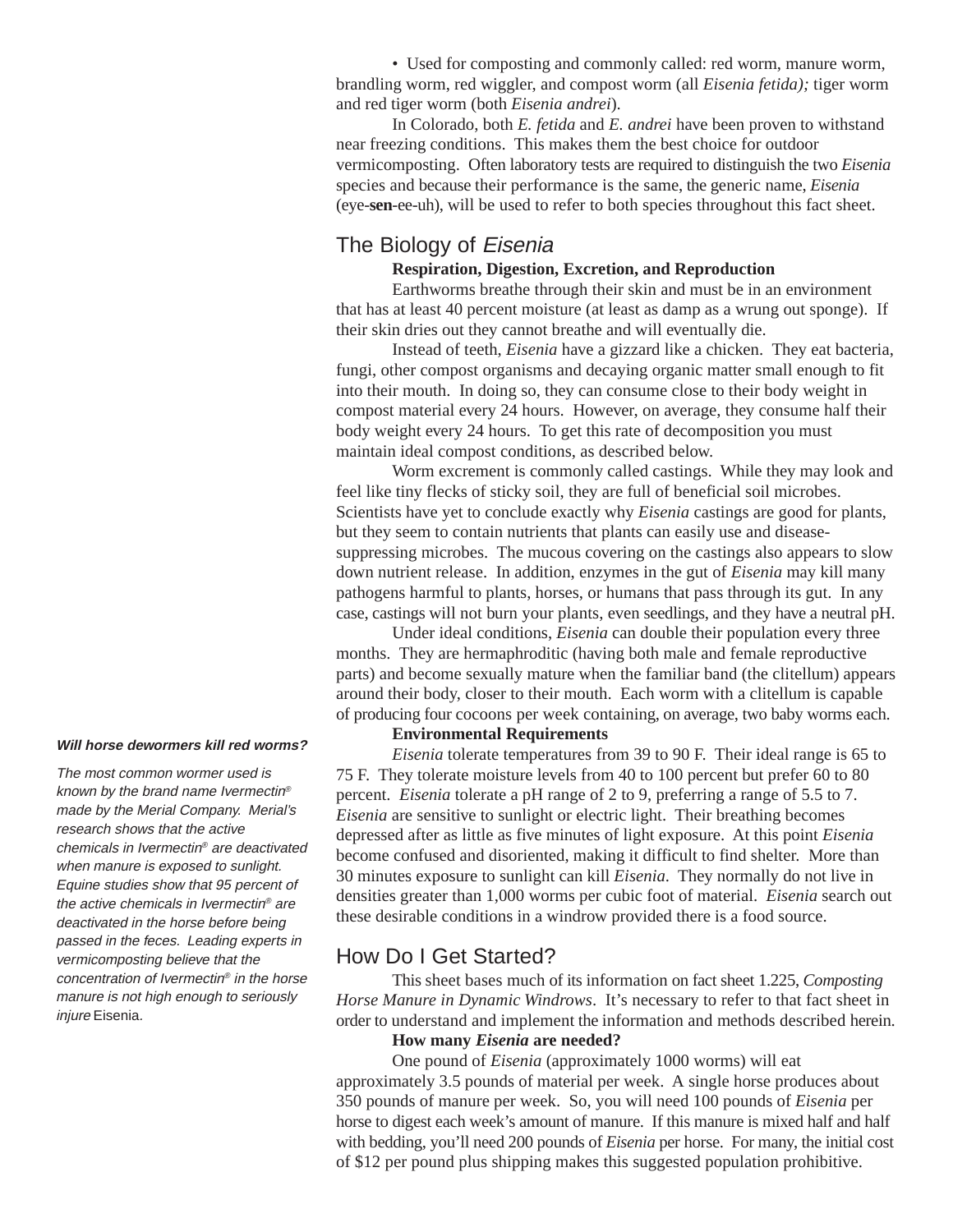• Used for composting and commonly called: red worm, manure worm, brandling worm, red wiggler, and compost worm (all *Eisenia fetida);* tiger worm and red tiger worm (both *Eisenia andrei*).

In Colorado, both *E. fetida* and *E. andrei* have been proven to withstand near freezing conditions. This makes them the best choice for outdoor vermicomposting. Often laboratory tests are required to distinguish the two *Eisenia* species and because their performance is the same, the generic name, *Eisenia* (eye-**sen**-ee-uh), will be used to refer to both species throughout this fact sheet.

## The Biology of Eisenia

#### **Respiration, Digestion, Excretion, and Reproduction**

Earthworms breathe through their skin and must be in an environment that has at least 40 percent moisture (at least as damp as a wrung out sponge). If their skin dries out they cannot breathe and will eventually die.

Instead of teeth, *Eisenia* have a gizzard like a chicken. They eat bacteria, fungi, other compost organisms and decaying organic matter small enough to fit into their mouth. In doing so, they can consume close to their body weight in compost material every 24 hours. However, on average, they consume half their body weight every 24 hours. To get this rate of decomposition you must maintain ideal compost conditions, as described below.

Worm excrement is commonly called castings. While they may look and feel like tiny flecks of sticky soil, they are full of beneficial soil microbes. Scientists have yet to conclude exactly why *Eisenia* castings are good for plants, but they seem to contain nutrients that plants can easily use and diseasesuppressing microbes. The mucous covering on the castings also appears to slow down nutrient release. In addition, enzymes in the gut of *Eisenia* may kill many pathogens harmful to plants, horses, or humans that pass through its gut. In any case, castings will not burn your plants, even seedlings, and they have a neutral pH.

Under ideal conditions, *Eisenia* can double their population every three months. They are hermaphroditic (having both male and female reproductive parts) and become sexually mature when the familiar band (the clitellum) appears around their body, closer to their mouth. Each worm with a clitellum is capable of producing four cocoons per week containing, on average, two baby worms each.

#### **Environmental Requirements**

*Eisenia* tolerate temperatures from 39 to 90 F. Their ideal range is 65 to 75 F. They tolerate moisture levels from 40 to 100 percent but prefer 60 to 80 percent. *Eisenia* tolerate a pH range of 2 to 9, preferring a range of 5.5 to 7. *Eisenia* are sensitive to sunlight or electric light. Their breathing becomes depressed after as little as five minutes of light exposure. At this point *Eisenia* become confused and disoriented, making it difficult to find shelter. More than 30 minutes exposure to sunlight can kill *Eisenia*. They normally do not live in densities greater than 1,000 worms per cubic foot of material. *Eisenia* search out these desirable conditions in a windrow provided there is a food source.

## How Do I Get Started?

This sheet bases much of its information on fact sheet 1.225, *Composting Horse Manure in Dynamic Windrows*. It's necessary to refer to that fact sheet in order to understand and implement the information and methods described herein.

#### **How many** *Eisenia* **are needed?**

One pound of *Eisenia* (approximately 1000 worms) will eat approximately 3.5 pounds of material per week. A single horse produces about 350 pounds of manure per week. So, you will need 100 pounds of *Eisenia* per horse to digest each week's amount of manure. If this manure is mixed half and half with bedding, you'll need 200 pounds of *Eisenia* per horse. For many, the initial cost of \$12 per pound plus shipping makes this suggested population prohibitive.

#### **Will horse dewormers kill red worms?**

The most common wormer used is known by the brand name Ivermectin® made by the Merial Company. Merial's research shows that the active chemicals in Ivermectin® are deactivated when manure is exposed to sunlight. Equine studies show that 95 percent of the active chemicals in Ivermectin® are deactivated in the horse before being passed in the feces. Leading experts in vermicomposting believe that the concentration of Ivermectin® in the horse manure is not high enough to seriously injure Eisenia.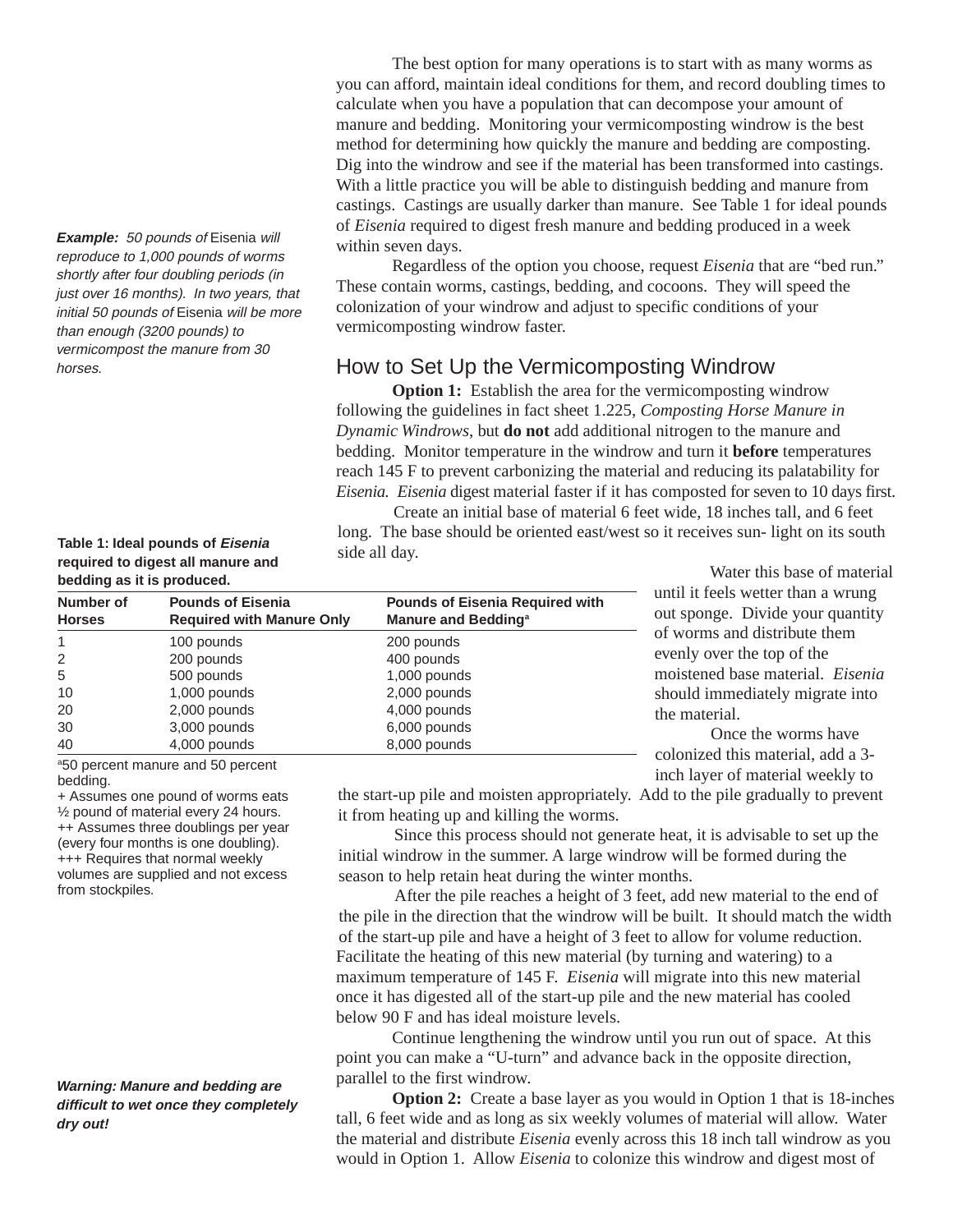**Example:** 50 pounds of Eisenia will reproduce to 1,000 pounds of worms shortly after four doubling periods (in just over 16 months). In two years, that initial 50 pounds of Eisenia will be more than enough (3200 pounds) to vermicompost the manure from 30 horses.

#### **Table 1: Ideal pounds of Eisenia required to digest all manure and bedding as it is produced.**

The best option for many operations is to start with as many worms as you can afford, maintain ideal conditions for them, and record doubling times to calculate when you have a population that can decompose your amount of manure and bedding. Monitoring your vermicomposting windrow is the best method for determining how quickly the manure and bedding are composting. Dig into the windrow and see if the material has been transformed into castings. With a little practice you will be able to distinguish bedding and manure from castings. Castings are usually darker than manure. See Table 1 for ideal pounds of *Eisenia* required to digest fresh manure and bedding produced in a week within seven days.

Regardless of the option you choose, request *Eisenia* that are "bed run." These contain worms, castings, bedding, and cocoons. They will speed the colonization of your windrow and adjust to specific conditions of your vermicomposting windrow faster.

## How to Set Up the Vermicomposting Windrow

**Option 1:** Establish the area for the vermicomposting windrow following the guidelines in fact sheet 1.225, *Composting Horse Manure in Dynamic Windrows*, but **do not** add additional nitrogen to the manure and bedding. Monitor temperature in the windrow and turn it **before** temperatures reach 145 F to prevent carbonizing the material and reducing its palatability for *Eisenia. Eisenia* digest material faster if it has composted for seven to 10 days first.

Create an initial base of material 6 feet wide, 18 inches tall, and 6 feet long. The base should be oriented east/west so it receives sun- light on its south side all day.

| <u>pouding donc it is produced.</u> |                                                              |                                                                           |
|-------------------------------------|--------------------------------------------------------------|---------------------------------------------------------------------------|
| Number of<br><b>Horses</b>          | <b>Pounds of Eisenia</b><br><b>Required with Manure Only</b> | <b>Pounds of Eisenia Required with</b><br>Manure and Bedding <sup>a</sup> |
| 1                                   | 100 pounds                                                   | 200 pounds                                                                |
| 2                                   | 200 pounds                                                   | 400 pounds                                                                |
| 5                                   | 500 pounds                                                   | 1,000 pounds                                                              |
| 10                                  | 1,000 pounds                                                 | 2,000 pounds                                                              |
| 20                                  | 2,000 pounds                                                 | 4,000 pounds                                                              |
| 30                                  | 3,000 pounds                                                 | 6,000 pounds                                                              |
| 40                                  | 4,000 pounds                                                 | 8,000 pounds                                                              |
|                                     |                                                              |                                                                           |

Water this base of material until it feels wetter than a wrung out sponge. Divide your quantity of worms and distribute them evenly over the top of the moistened base material. *Eisenia* should immediately migrate into the material.

Once the worms have colonized this material, add a 3 inch layer of material weekly to

a50 percent manure and 50 percent bedding.

+ Assumes one pound of worms eats ½ pound of material every 24 hours. ++ Assumes three doublings per year (every four months is one doubling). +++ Requires that normal weekly volumes are supplied and not excess from stockpiles.

**Warning: Manure and bedding are difficult to wet once they completely dry out!**

the start-up pile and moisten appropriately. Add to the pile gradually to prevent it from heating up and killing the worms.

Since this process should not generate heat, it is advisable to set up the initial windrow in the summer. A large windrow will be formed during the season to help retain heat during the winter months.

After the pile reaches a height of 3 feet, add new material to the end of the pile in the direction that the windrow will be built. It should match the width of the start-up pile and have a height of 3 feet to allow for volume reduction. Facilitate the heating of this new material (by turning and watering) to a maximum temperature of 145 F. *Eisenia* will migrate into this new material once it has digested all of the start-up pile and the new material has cooled below 90 F and has ideal moisture levels.

Continue lengthening the windrow until you run out of space. At this point you can make a "U-turn" and advance back in the opposite direction, parallel to the first windrow.

**Option 2:** Create a base layer as you would in Option 1 that is 18-inches tall, 6 feet wide and as long as six weekly volumes of material will allow. Water the material and distribute *Eisenia* evenly across this 18 inch tall windrow as you would in Option 1. Allow *Eisenia* to colonize this windrow and digest most of